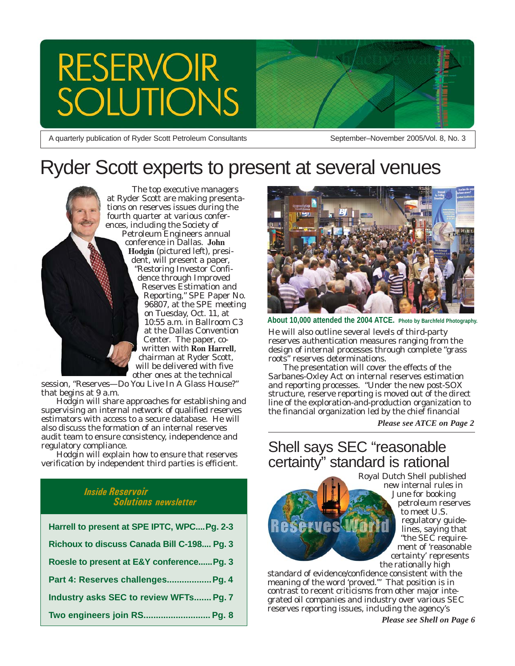# **RESERVOIR TIONS**

A quarterly publication of Ryder Scott Petroleum Consultants

September–November 2005/Vol. 8, No. 3

# Ryder Scott experts to present at several venues



session, "Reserves—Do You Live In A Glass House?" that begins at 9 a.m.

Hodgin will share approaches for establishing and supervising an internal network of qualified reserves estimators with access to a secure database. He will also discuss the formation of an internal reserves audit team to ensure consistency, independence and regulatory compliance.

Hodgin will explain how to ensure that reserves verification by independent third parties is efficient.

#### *Inside Reservoir Solutions newsletter*

| Harrell to present at SPE IPTC, WPCPg. 2-3 |
|--------------------------------------------|
| Richoux to discuss Canada Bill C-198 Pg. 3 |
| Roesle to present at E&Y conference Pg. 3  |
| Part 4: Reserves challenges Pg. 4          |
| Industry asks SEC to review WFTs Pg. 7     |
| Two engineers join RS Pg. 8                |



**About 10,000 attended the 2004 ATCE. Photo by Barchfeld Photography.**

He will also outline several levels of third-party reserves authentication measures ranging from the design of internal processes through complete "grass roots" reserves determinations.

The presentation will cover the effects of the Sarbanes-Oxley Act on internal reserves estimation and reporting processes. "Under the new post-SOX structure, reserve reporting is moved out of the direct line of the exploration-and-production organization to the financial organization led by the chief financial

*Please see ATCE on Page 2*

## Shell says SEC "reasonable certainty" standard is rational



Royal Dutch Shell published new internal rules in June for booking petroleum reserves to meet U.S. regulatory guidelines, saying that "the SEC requirement of 'reasonable certainty' represents the rationally high

standard of evidence/confidence consistent with the meaning of the word 'proved.'" That position is in contrast to recent criticisms from other major integrated oil companies and industry over various SEC reserves reporting issues, including the agency's

*Please see Shell on Page 6*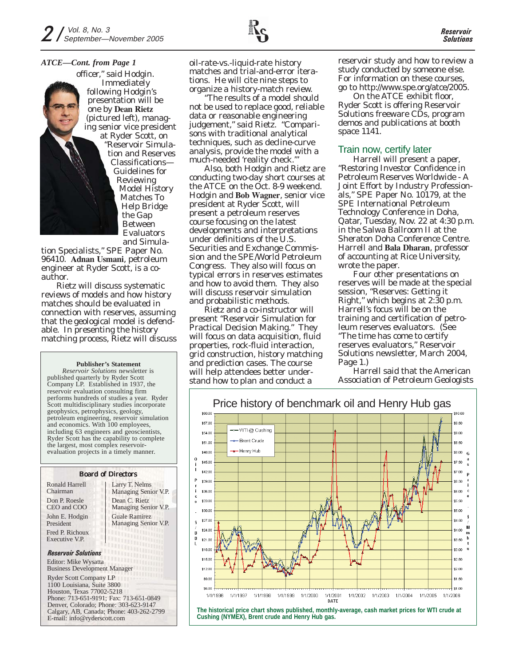#### *ATCE—Cont. from Page 1*

officer," said Hodgin. Immediately following Hodgin's presentation will be one by **Dean Rietz** (pictured left), managing senior vice president at Ryder Scott, on "Reservoir Simulation and Reserves Classifications— Guidelines for Reviewing Model History Matches To Help Bridge the Gap Between Evaluators and Simula-

tion Specialists," SPE Paper No. 96410. **Adnan Usmani**, petroleum engineer at Ryder Scott, is a coauthor.

Rietz will discuss systematic reviews of models and how history matches should be evaluated in connection with reserves, assuming that the geological model is defendable. In presenting the history matching process, Rietz will discuss

#### **Publisher's Statement**

*Reservoir Solutions* newsletter is published quarterly by Ryder Scott Company LP. Established in 1937, the reservoir evaluation consulting firm performs hundreds of studies a year. Ryder Scott multidisciplinary studies incorporate geophysics, petrophysics, geology, petroleum engineering, reservoir simulation and economics. With 100 employees, including 63 engineers and geoscientists, Ryder Scott has the capability to complete the largest, most complex reservoirevaluation projects in a timely manner.

## Board of Directors

Don P. Roesle CEO and COO John E. Hodgin President Fred P. Richoux Executive V.P. Ronald Harrell Chairman

Larry T. Nelms Managing Senior V.P. Dean C. Rietz Managing Senior V.P. Guale Ramirez Managing Senior V.P.

#### *Reservoir Solutions*

Editor: Mike Wysatta Business Development Manager

Ryder Scott Company LP

1100 Louisiana, Suite 3800 Houston, Texas 77002-5218 Phone: 713-651-9191; Fax: 713-651-0849 Denver, Colorado; Phone: 303-623-9147 Calgary, AB, Canada; Phone: 403-262-2799 E-mail: info@ryderscott.com

oil-rate-vs.-liquid-rate history matches and trial-and-error iterations. He will cite nine steps to organize a history-match review.

"The results of a model should not be used to replace good, reliable data or reasonable engineering judgement," said Rietz. "Comparisons with traditional analytical techniques, such as decline-curve analysis, provide the model with a much-needed 'reality check.'"

Also, both Hodgin and Rietz are conducting two-day short courses at the ATCE on the Oct. 8-9 weekend. Hodgin and **Bob Wagner**, senior vice president at Ryder Scott, will present a petroleum reserves course focusing on the latest developments and interpretations under definitions of the U.S. Securities and Exchange Commission and the SPE/World Petroleum Congress. They also will focus on typical errors in reserves estimates and how to avoid them. They also will discuss reservoir simulation and probabilistic methods.

Rietz and a co-instructor will present "Reservoir Simulation for Practical Decision Making." They will focus on data acquisition, fluid properties, rock-fluid interaction, grid construction, history matching and prediction cases. The course will help attendees better understand how to plan and conduct a

reservoir study and how to review a study conducted by someone else. For information on these courses, go to http://www.spe.org/atce/2005.

On the ATCE exhibit floor, Ryder Scott is offering *Reservoir Solutions* freeware CDs, program demos and publications at booth space 1141.

#### Train now, certify later

Harrell will present a paper, "Restoring Investor Confidence in Petroleum Reserves Worldwide - A Joint Effort by Industry Professionals," SPE Paper No. 10179, at the SPE International Petroleum Technology Conference in Doha, Qatar, Tuesday, Nov. 22 at 4:30 p.m. in the Salwa Ballroom II at the Sheraton Doha Conference Centre. Harrell and **Bala Dharan**, professor of accounting at Rice University, wrote the paper.

Four other presentations on reserves will be made at the special session, "Reserves: Getting it Right," which begins at 2:30 p.m. Harrell's focus will be on the training and certification of petroleum reserves evaluators. (See "The time has come to certify reserves evaluators," *Reservoir Solutions* newsletter, March 2004, Page 1.)

Harrell said that the American Association of Petroleum Geologists

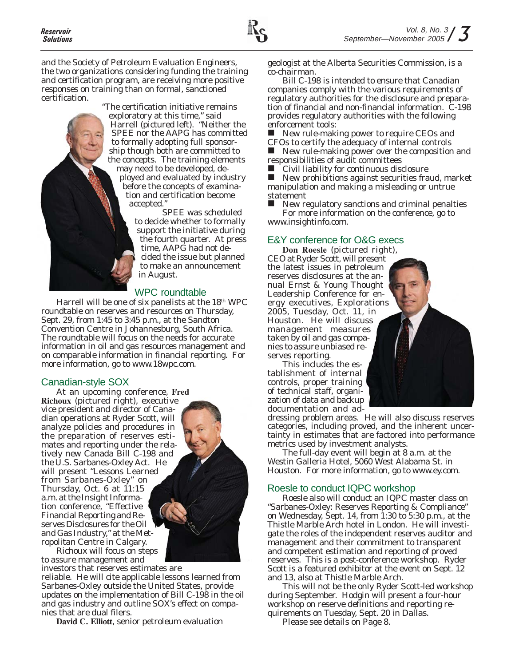and the Society of Petroleum Evaluation Engineers, the two organizations considering funding the training and certification program, are receiving more positive responses on training than on formal, sanctioned certification.

> "The certification initiative remains exploratory at this time," said Harrell (pictured left). "Neither the SPEE nor the AAPG has committed to formally adopting full sponsorship though both are committed to the concepts. The training elements may need to be developed, deployed and evaluated by industry before the concepts of examination and certification become accepted."

SPEE was scheduled to decide whether to formally support the initiative during the fourth quarter. At press time, AAPG had not decided the issue but planned to make an announcement in August.

#### WPC roundtable

Harrell will be one of six panelists at the 18<sup>th</sup> WPC roundtable on reserves and resources on Thursday, Sept. 29, from 1:45 to 3:45 p.m., at the Sandton Convention Centre in Johannesburg, South Africa. The roundtable will focus on the needs for accurate information in oil and gas resources management and on comparable information in financial reporting. For more information, go to www.18wpc.com.

#### Canadian-style SOX

At an upcoming conference, **Fred Richoux** (pictured right), executive vice president and director of Canadian operations at Ryder Scott, will analyze policies and procedures in the preparation of reserves estimates and reporting under the relatively new Canada Bill C-198 and the U.S. Sarbanes-Oxley Act. He will present "Lessons Learned from Sarbanes-Oxley" on Thursday, Oct. 6 at 11:15 a.m. at the Insight Information conference, "Effective Financial Reporting and Reserves Disclosures for the Oil and Gas Industry," at the Metropolitan Centre in Calgary.

Richoux will focus on steps to assure management and

investors that reserves estimates are reliable. He will cite applicable lessons learned from Sarbanes-Oxley outside the United States, provide updates on the implementation of Bill C-198 in the oil and gas industry and outline SOX's effect on companies that are dual filers.

**David C. Elliott**, senior petroleum evaluation

geologist at the Alberta Securities Commission, is a co-chairman.

Bill C-198 is intended to ensure that Canadian companies comply with the various requirements of regulatory authorities for the disclosure and preparation of financial and non-financial information. C-198 provides regulatory authorities with the following enforcement tools:

New rule-making power to require CEOs and CFOs to certify the adequacy of internal controls

New rule-making power over the composition and responsibilities of audit committees

Civil liability for continuous disclosure

 $\blacksquare$  New prohibitions against securities fraud, market manipulation and making a misleading or untrue statement

 New regulatory sanctions and criminal penalties For more information on the conference, go to www.insightinfo.com.

#### E&Y conference for O&G execs

**Don Roesle** (pictured right), CEO at Ryder Scott, will present the latest issues in petroleum reserves disclosures at the annual Ernst & Young Thought Leadership Conference for energy executives, Explorations 2005, Tuesday, Oct. 11, in Houston. He will discuss management measures taken by oil and gas companies to assure unbiased reserves reporting.

This includes the establishment of internal controls, proper training of technical staff, organization of data and backup documentation and ad-

dressing problem areas. He will also discuss reserves categories, including proved, and the inherent uncertainty in estimates that are factored into performance metrics used by investment analysts.

The full-day event will begin at 8 a.m. at the Westin Galleria Hotel, 5060 West Alabama St. in Houston. For more information, go to www.ey.com.

#### Roesle to conduct IQPC workshop

Roesle also will conduct an IQPC master class on "Sarbanes-Oxley: Reserves Reporting & Compliance" on Wednesday, Sept. 14, from 1:30 to 5:30 p.m., at the Thistle Marble Arch hotel in London. He will investigate the roles of the independent reserves auditor and management and their commitment to transparent and competent estimation and reporting of proved reserves. This is a post-conference workshop. Ryder Scott is a featured exhibitor at the event on Sept. 12 and 13, also at Thistle Marble Arch.

This will not be the only Ryder Scott-led workshop during September. Hodgin will present a four-hour workshop on reserve definitions and reporting requirements on Tuesday, Sept. 20 in Dallas.

Please see details on Page 8.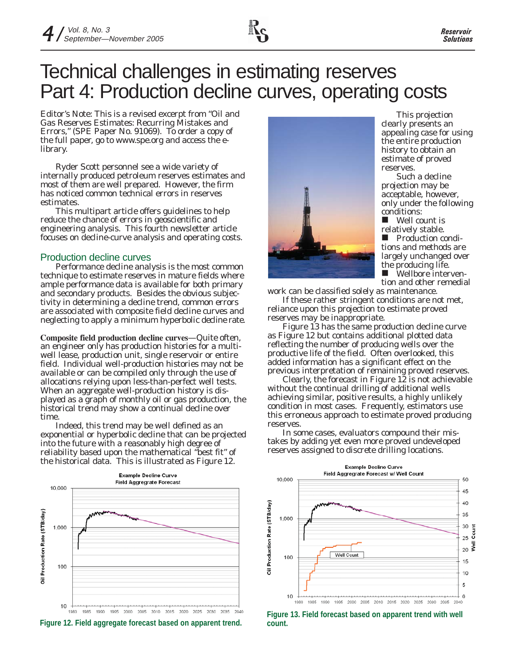# Technical challenges in estimating reserves Part 4: Production decline curves, operating costs

*Editor's Note: This is a revised excerpt from "Oil and Gas Reserves Estimates: Recurring Mistakes and Errors," (SPE Paper No. 91069). To order a copy of the full paper, go to www.spe.org and access the elibrary.*

Ryder Scott personnel see a wide variety of internally produced petroleum reserves estimates and most of them are well prepared. However, the firm has noticed common technical errors in reserves estimates.

This multipart article offers guidelines to help reduce the chance of errors in geoscientific and engineering analysis. This fourth newsletter article focuses on decline-curve analysis and operating costs.

#### Production decline curves

Performance decline analysis is the most common technique to estimate reserves in mature fields where ample performance data is available for both primary and secondary products. Besides the obvious subjectivity in determining a decline trend, common errors are associated with composite field decline curves and neglecting to apply a minimum hyperbolic decline rate.

**Composite field production decline curves**—Quite often, an engineer only has production histories for a multiwell lease, production unit, single reservoir or entire field. Individual well-production histories may not be available or can be compiled only through the use of allocations relying upon less-than-perfect well tests. When an aggregate well-production history is displayed as a graph of monthly oil or gas production, the historical trend may show a continual decline over time.

Indeed, this trend may be well defined as an exponential or hyperbolic decline that can be projected into the future with a reasonably high degree of reliability based upon the mathematical "best fit" of the historical data. This is illustrated as Figure 12.







This projection clearly presents an appealing case for using the entire production history to obtain an estimate of proved reserves.

Such a decline projection may be acceptable, however, only under the following conditions:

 Well count is relatively stable.  $\blacksquare$  Production conditions and methods are largely unchanged over the producing life.

**Nellbore interven**tion and other remedial

work can be classified solely as maintenance.

If these rather stringent conditions are not met, reliance upon this projection to estimate proved reserves may be inappropriate.

Figure 13 has the same production decline curve as Figure 12 but contains additional plotted data reflecting the number of producing wells over the productive life of the field. Often overlooked, this added information has a significant effect on the previous interpretation of remaining proved reserves.

Clearly, the forecast in Figure 12 is not achievable without the continual drilling of additional wells achieving similar, positive results, a highly unlikely condition in most cases. Frequently, estimators use this erroneous approach to estimate proved producing reserves.

In some cases, evaluators compound their mistakes by adding yet even more proved undeveloped reserves assigned to discrete drilling locations.



**Figure 13. Field forecast based on apparent trend with well**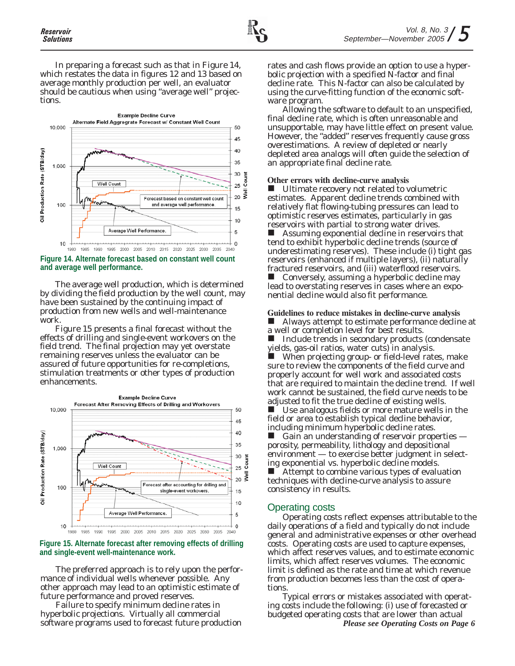In preparing a forecast such as that in Figure 14, which restates the data in figures 12 and 13 based on average monthly production per well, an evaluator should be cautious when using "average well" projections.



#### **Figure 14. Alternate forecast based on constant well count and average well performance.**

The average well production, which is determined by dividing the field production by the well count, may have been sustained by the continuing impact of production from new wells and well-maintenance work.

Figure 15 presents a final forecast without the effects of drilling and single-event workovers on the field trend. The final projection may yet overstate remaining reserves unless the evaluator can be assured of future opportunities for re-completions, stimulation treatments or other types of production enhancements.



#### **Figure 15. Alternate forecast after removing effects of drilling and single-event well-maintenance work.**

The preferred approach is to rely upon the performance of individual wells whenever possible. Any other approach may lead to an optimistic estimate of future performance and proved reserves.

Failure to specify minimum decline rates in hyperbolic projections. Virtually all commercial software programs used to forecast future production rates and cash flows provide an option to use a hyperbolic projection with a specified N-factor and final decline rate. This N-factor can also be calculated by using the curve-fitting function of the economic software program.

Allowing the software to default to an unspecified, final decline rate, which is often unreasonable and unsupportable, may have little effect on present value. However, the "added" reserves frequently cause gross overestimations. A review of depleted or nearly depleted area analogs will often guide the selection of an appropriate final decline rate.

#### **Other errors with decline-curve analysis**

 Ultimate recovery not related to volumetric estimates. Apparent decline trends combined with relatively flat flowing-tubing pressures can lead to optimistic reserves estimates, particularly in gas reservoirs with partial to strong water drives.

 Assuming exponential decline in reservoirs that tend to exhibit hyperbolic decline trends (source of underestimating reserves). These include (i) tight gas reservoirs (enhanced if multiple layers), (ii) naturally fractured reservoirs, and (iii) waterflood reservoirs. Conversely, assuming a hyperbolic decline may lead to overstating reserves in cases where an exponential decline would also fit performance.

#### **Guidelines to reduce mistakes in decline-curve analysis**

 Always attempt to estimate performance decline at a well or completion level for best results.

 $\blacksquare$  Include trends in secondary products (condensate yields, gas-oil ratios, water cuts) in analysis.

 When projecting group- or field-level rates, make sure to review the components of the field curve and properly account for well work and associated costs that are required to maintain the decline trend. If well work cannot be sustained, the field curve needs to be adjusted to fit the true decline of existing wells.

 $\blacksquare$  Use analogous fields or more mature wells in the field or area to establish typical decline behavior, including minimum hyperbolic decline rates.

 $\blacksquare$  Gain an understanding of reservoir properties  $\blacksquare$ porosity, permeability, lithology and depositional environment — to exercise better judgment in selecting exponential vs. hyperbolic decline models. ■ Attempt to combine various types of evaluation techniques with decline-curve analysis to assure consistency in results.

#### Operating costs

Operating costs reflect expenses attributable to the daily operations of a field and typically do not include general and administrative expenses or other overhead costs. Operating costs are used to capture expenses, which affect reserves values, and to estimate economic limits, which affect reserves volumes. The economic limit is defined as the rate and time at which revenue from production becomes less than the cost of operations.

Typical errors or mistakes associated with operating costs include the following: (i) use of forecasted or budgeted operating costs that are lower than actual *Please see Operating Costs on Page 6*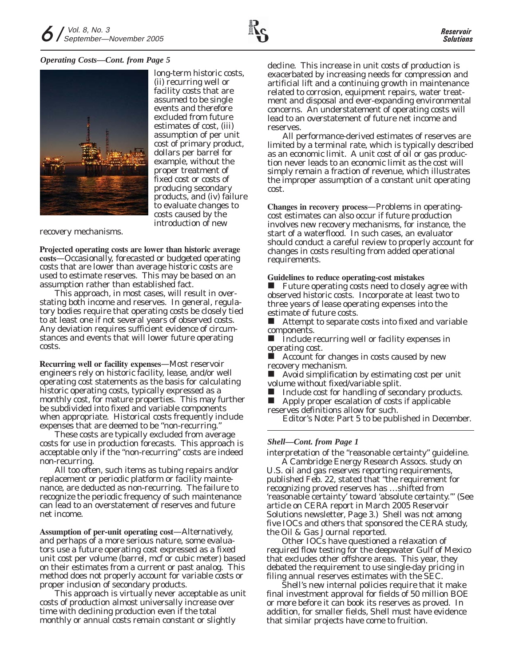#### *Operating Costs—Cont. from Page 5*



long-term historic costs, (ii) recurring well or facility costs that are assumed to be single events and therefore excluded from future estimates of cost, (iii) assumption of per unit cost of primary product, dollars per barrel for example, without the proper treatment of fixed cost or costs of producing secondary products, and (iv) failure to evaluate changes to costs caused by the introduction of new

recovery mechanisms.

**Projected operating costs are lower than historic average costs**—Occasionally, forecasted or budgeted operating costs that are lower than average historic costs are used to estimate reserves. This may be based on an assumption rather than established fact.

This approach, in most cases, will result in overstating both income and reserves. In general, regulatory bodies require that operating costs be closely tied to at least one if not several years of observed costs. Any deviation requires sufficient evidence of circumstances and events that will lower future operating costs.

**Recurring well or facility expenses**—Most reservoir engineers rely on historic facility, lease, and/or well operating cost statements as the basis for calculating historic operating costs, typically expressed as a monthly cost, for mature properties. This may further be subdivided into fixed and variable components when appropriate. Historical costs frequently include expenses that are deemed to be "non-recurring."

These costs are typically excluded from average costs for use in production forecasts. This approach is acceptable only if the "non-recurring" costs are indeed non-recurring.

All too often, such items as tubing repairs and/or replacement or periodic platform or facility maintenance, are deducted as non-recurring. The failure to recognize the periodic frequency of such maintenance can lead to an overstatement of reserves and future net income.

**Assumption of per-unit operating cost**—Alternatively, and perhaps of a more serious nature, some evaluators use a future operating cost expressed as a fixed unit cost per volume (barrel, mcf or cubic meter) based on their estimates from a current or past analog. This method does not properly account for variable costs or proper inclusion of secondary products.

This approach is virtually never acceptable as unit costs of production almost universally increase over time with declining production even if the total monthly or annual costs remain constant or slightly

decline. This increase in unit costs of production is exacerbated by increasing needs for compression and artificial lift and a continuing growth in maintenance related to corrosion, equipment repairs, water treatment and disposal and ever-expanding environmental concerns. An understatement of operating costs will lead to an overstatement of future net income and reserves.

All performance-derived estimates of reserves are limited by a terminal rate, which is typically described as an economic limit. A unit cost of oil or gas production never leads to an economic limit as the cost will simply remain a fraction of revenue, which illustrates the improper assumption of a constant unit operating cost.

**Changes in recovery process**—Problems in operatingcost estimates can also occur if future production involves new recovery mechanisms, for instance, the start of a waterflood. In such cases, an evaluator should conduct a careful review to properly account for changes in costs resulting from added operational requirements.

#### **Guidelines to reduce operating-cost mistakes**

 Future operating costs need to closely agree with observed historic costs. Incorporate at least two to three years of lease operating expenses into the estimate of future costs.

 Attempt to separate costs into fixed and variable components.

 $\blacksquare$  Include recurring well or facility expenses in operating cost.

 Account for changes in costs caused by new recovery mechanism.

 Avoid simplification by estimating cost per unit volume without fixed/variable split.

 Include cost for handling of secondary products. ■ Apply proper escalation of costs if applicable reserves definitions allow for such.

*Editor's Note: Part 5 to be published in December.*

#### *Shell—Cont. from Page 1*

interpretation of the "reasonable certainty" guideline.

A Cambridge Energy Research Assocs. study on U.S. oil and gas reserves reporting requirements, published Feb. 22, stated that "the requirement for recognizing proved reserves has …shifted from 'reasonable certainty' toward 'absolute certainty.'" (See article on CERA report in March 2005 *Reservoir Solutions* newsletter, Page 3.) Shell was not among five IOCs and others that sponsored the CERA study, the *Oil & Gas Journal* reported.

Other IOCs have questioned a relaxation of required flow testing for the deepwater Gulf of Mexico that excludes other offshore areas. This year, they debated the requirement to use single-day pricing in filing annual reserves estimates with the SEC.

Shell's new internal policies require that it make final investment approval for fields of 50 million BOE or more before it can book its reserves as proved. In addition, for smaller fields, Shell must have evidence that similar projects have come to fruition.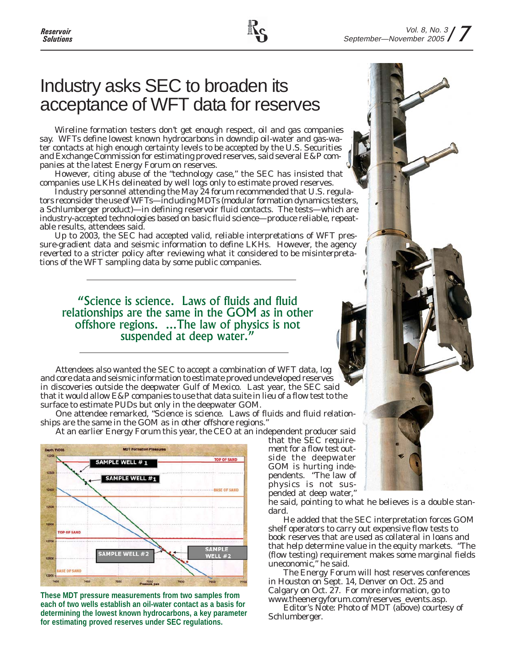# Industry asks SEC to broaden its acceptance of WFT data for reserves

Wireline formation testers don't get enough respect, oil and gas companies say. WFTs define lowest known hydrocarbons in downdip oil-water and gas-water contacts at high enough certainty levels to be accepted by the U.S. Securities and Exchange Commission for estimating proved reserves, said several E&P companies at the latest Energy Forum on reserves.

However, citing abuse of the "technology case," the SEC has insisted that companies use LKHs delineated by well logs only to estimate proved reserves.

Industry personnel attending the May 24 forum recommended that U.S. regulators reconsider the use of WFTs—including MDTs (modular formation dynamics testers, a Schlumberger product)—in defining reservoir fluid contacts. The tests—which are industry-accepted technologies based on basic fluid science—produce reliable, repeatable results, attendees said.

Up to 2003, the SEC had accepted valid, reliable interpretations of WFT pressure-gradient data and seismic information to define LKHs. However, the agency reverted to a stricter policy after reviewing what it considered to be misinterpretations of the WFT sampling data by some public companies.

### "Science is science. Laws of fluids and fluid relationships are the same in the GOM as in other offshore regions. ...The law of physics is not suspended at deep water."

Attendees also wanted the SEC to accept a combination of WFT data, log and core data and seismic information to estimate proved undeveloped reserves in discoveries outside the deepwater Gulf of Mexico. Last year, the SEC said that it would allow E&P companies to use that data suite in lieu of a flow test to the surface to estimate PUDs but only in the deepwater GOM.

One attendee remarked, "Science is science. Laws of fluids and fluid relationships are the same in the GOM as in other offshore regions."

At an earlier Energy Forum this year, the CEO at an independent producer said



**These MDT pressure measurements from two samples from each of two wells establish an oil-water contact as a basis for determining the lowest known hydrocarbons, a key parameter for estimating proved reserves under SEC regulations.**

that the SEC requirement for a flow test outside the deepwater GOM is hurting independents. "The law of physics is not suspended at deep water,"

he said, pointing to what he believes is a double standard.

He added that the SEC interpretation forces GOM shelf operators to carry out expensive flow tests to book reserves that are used as collateral in loans and that help determine value in the equity markets. "The (flow testing) requirement makes some marginal fields uneconomic," he said.

The Energy Forum will host reserves conferences in Houston on Sept. 14, Denver on Oct. 25 and Calgary on Oct. 27. For more information, go to www.theenergyforum.com/reserves\_events.asp.

*Editor's Note: Photo of MDT (above) courtesy of Schlumberger.*